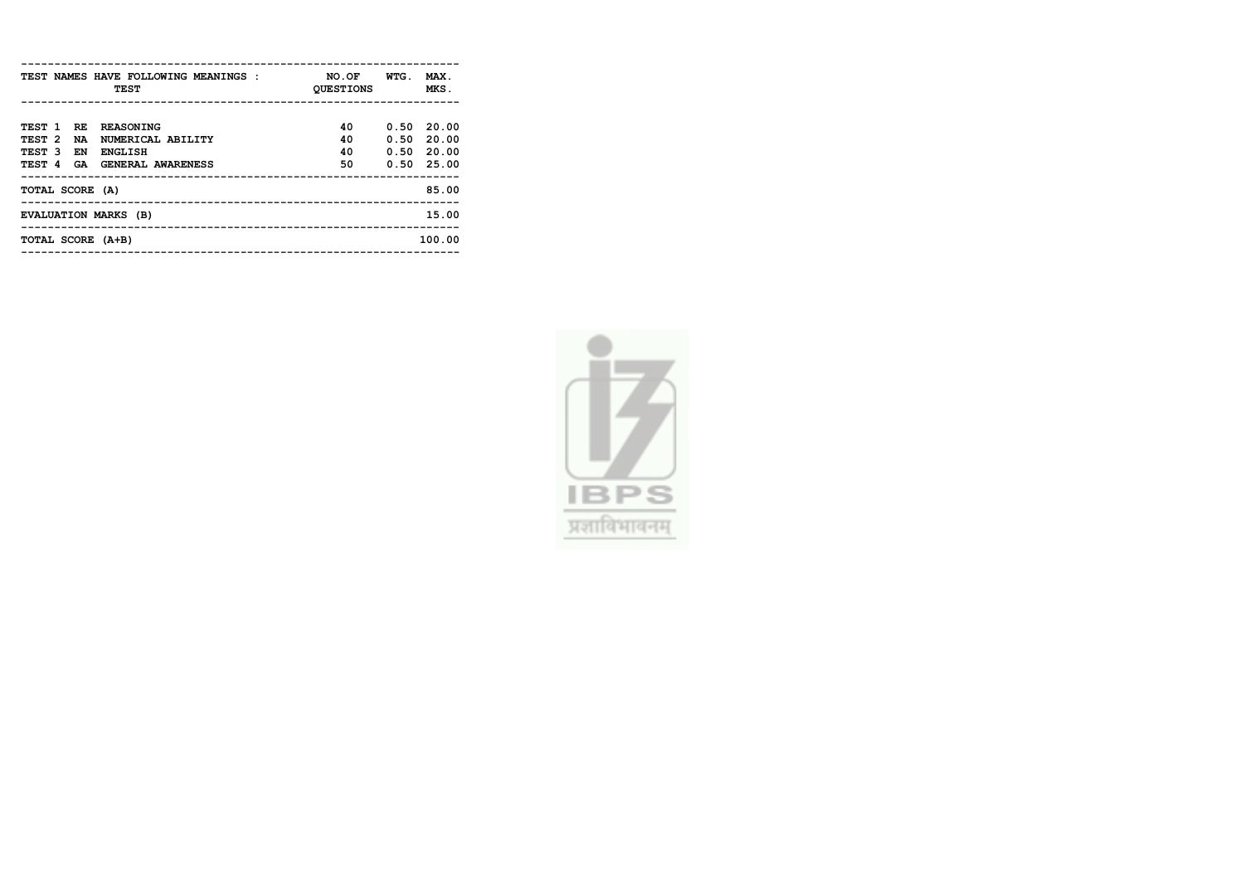| TEST NAMES HAVE FOLLOWING MEANINGS :<br><b>TEST</b> | NO.OF<br><b>QUESTIONS</b> | WTG. | MAX.<br>MKS. |
|-----------------------------------------------------|---------------------------|------|--------------|
|                                                     |                           |      |              |
|                                                     |                           |      |              |
| TEST 1 RE<br><b>REASONING</b>                       | 40                        | 0.50 | 20.00        |
| TEST <sub>2</sub><br>NUMERICAL ABILITY<br><b>NA</b> | 40                        |      | $0.50$ 20.00 |
| TEST 3<br>EN<br><b>ENGLISH</b>                      | 40                        |      | $0.50$ 20.00 |
| TEST 4 GA<br><b>GENERAL AWARENESS</b>               | 50                        |      | $0.50$ 25.00 |
|                                                     |                           |      |              |
| TOTAL SCORE (A)                                     |                           |      | 85.00        |
|                                                     |                           |      |              |
| EVALUATION MARKS (B)                                |                           |      | 15.00        |
|                                                     |                           |      |              |
| TOTAL SCORE (A+B)                                   |                           |      | 100.00       |
|                                                     |                           |      |              |

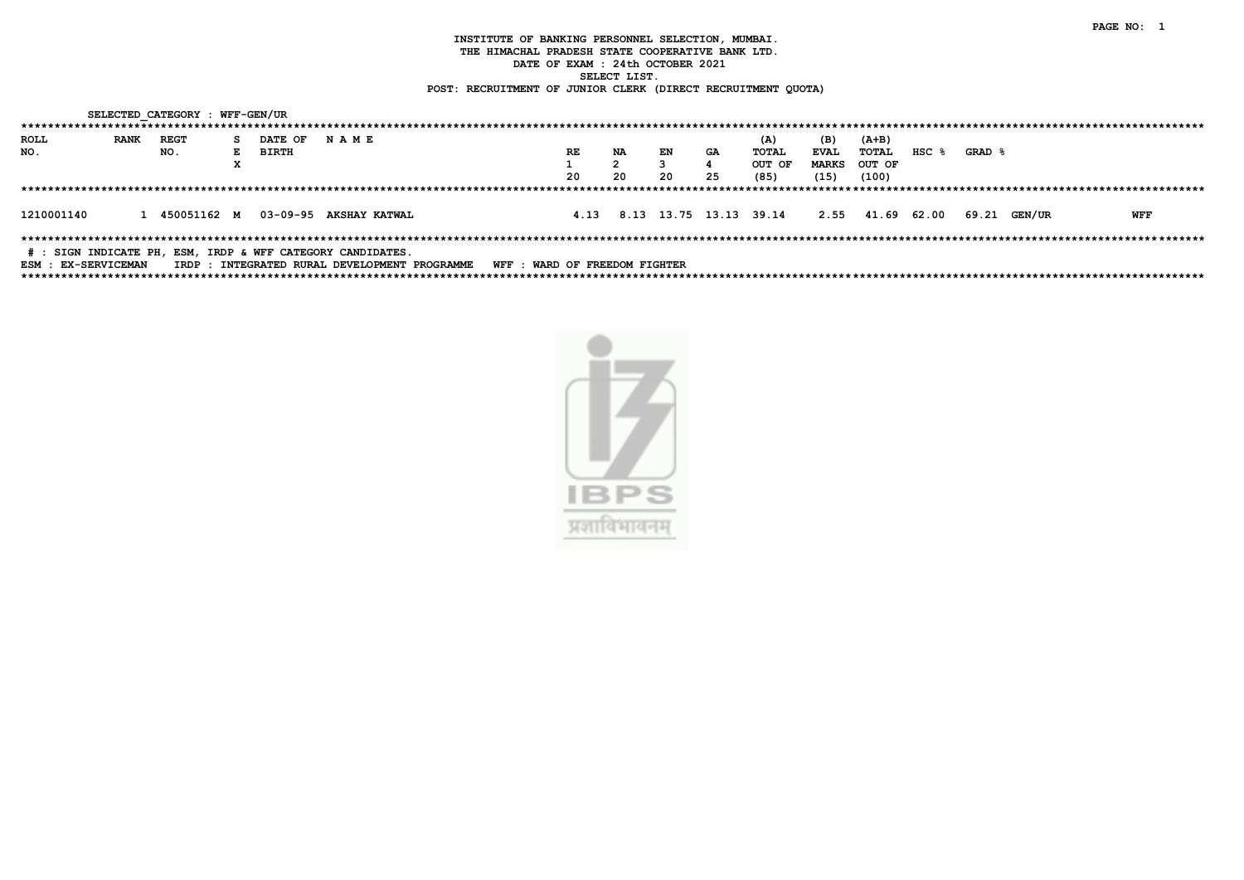|                                                            |             | SELECTED CATEGORY : WFF-GEN/UR |                |                        |                                               |                               |      |    |    |    |                        |              |                  |       |        |              |     |  |
|------------------------------------------------------------|-------------|--------------------------------|----------------|------------------------|-----------------------------------------------|-------------------------------|------|----|----|----|------------------------|--------------|------------------|-------|--------|--------------|-----|--|
|                                                            |             |                                |                |                        |                                               |                               |      |    |    |    |                        |              |                  |       |        |              |     |  |
| ROLL                                                       | <b>RANK</b> | REGT                           | S DATE OF NAME |                        |                                               |                               |      |    |    |    | (A)                    | (B)          | (A+B)            |       |        |              |     |  |
| NO.                                                        |             | NO.                            | E BIRTH        |                        |                                               |                               | RE.  | NA | EN | GA | TOTAL                  | <b>EVAL</b>  | TOTAL            | HSC 8 | GRAD & |              |     |  |
|                                                            |             |                                |                |                        |                                               |                               |      |    |    |    | OUT OF                 | <b>MARKS</b> | OUT OF           |       |        |              |     |  |
|                                                            |             |                                |                |                        |                                               |                               | -20  | 20 | 20 | 25 | (85)                   | (15)         | (100)            |       |        |              |     |  |
|                                                            |             |                                |                |                        |                                               |                               |      |    |    |    |                        |              |                  |       |        |              |     |  |
|                                                            |             |                                |                |                        |                                               |                               |      |    |    |    |                        |              |                  |       |        |              |     |  |
| 1210001140                                                 |             | 1 450051162 M                  |                | 03-09-95 AKSHAY KATWAL |                                               |                               | 4.13 |    |    |    | 8.13 13.75 13.13 39.14 |              | 2.55 41.69 62.00 |       |        | 69.21 GEN/UR | WFF |  |
|                                                            |             |                                |                |                        |                                               |                               |      |    |    |    |                        |              |                  |       |        |              |     |  |
|                                                            |             |                                |                |                        |                                               |                               |      |    |    |    |                        |              |                  |       |        |              |     |  |
| # : SIGN INDICATE PH, ESM, IRDP & WFF CATEGORY CANDIDATES. |             |                                |                |                        |                                               |                               |      |    |    |    |                        |              |                  |       |        |              |     |  |
| ESM : EX-SERVICEMAN                                        |             |                                |                |                        | IRDP : INTEGRATED RURAL DEVELOPMENT PROGRAMME | WFF : WARD OF FREEDOM FIGHTER |      |    |    |    |                        |              |                  |       |        |              |     |  |

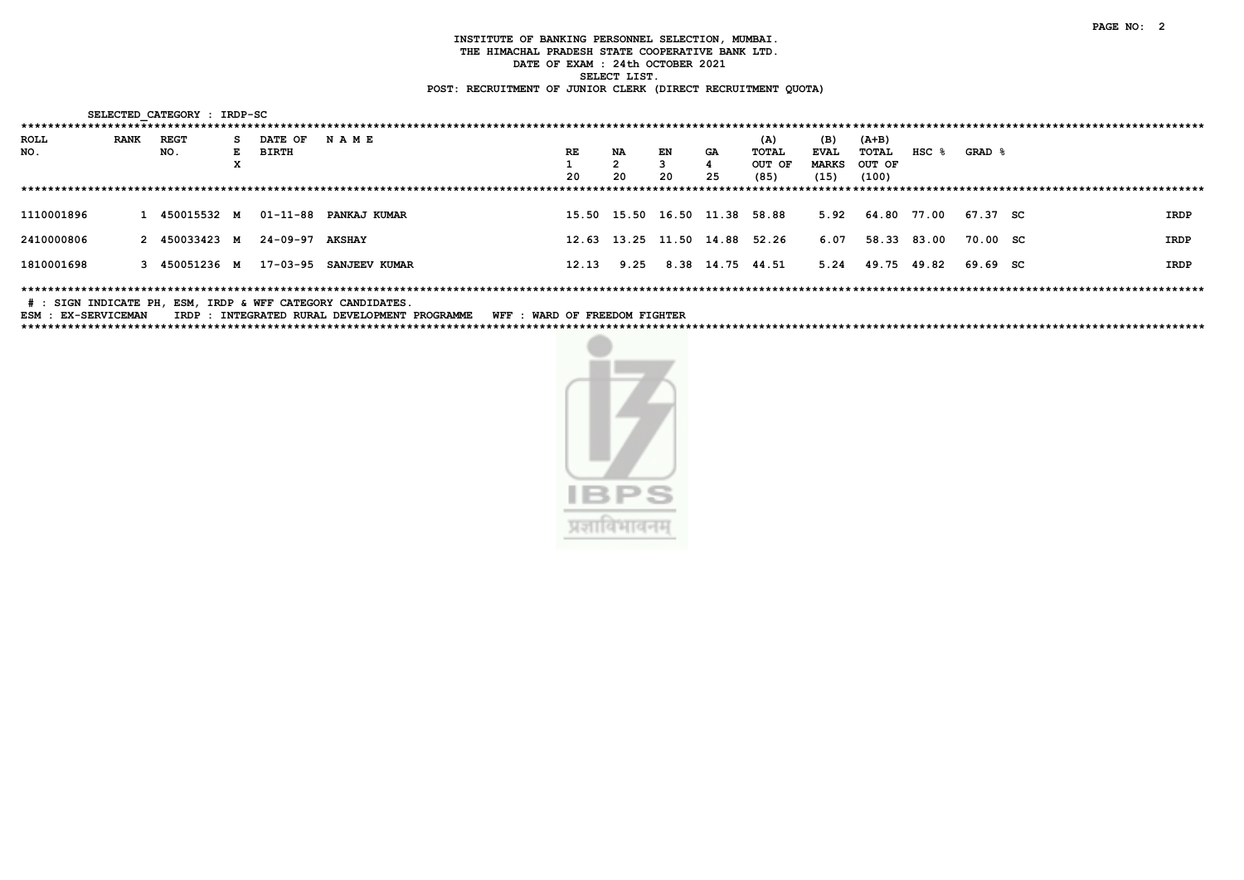|             |             | SELECTED CATEGORY : IRDP-SC |    |                 |                       |       |      |    |                               |        |              |                  |             |          |      |  |
|-------------|-------------|-----------------------------|----|-----------------|-----------------------|-------|------|----|-------------------------------|--------|--------------|------------------|-------------|----------|------|--|
| *********** |             |                             |    |                 |                       |       |      |    |                               |        |              |                  |             |          |      |  |
| <b>ROLL</b> | <b>RANK</b> | <b>REGT</b>                 | s. | <b>DATE OF</b>  | <b>NAME</b>           |       |      |    |                               | (A)    | (B)          | $(A+B)$          |             |          |      |  |
| NO.         |             | NO.                         | E. | BIRTH           |                       | RE    | NA   | EN | GA                            | TOTAL  | <b>EVAL</b>  | TOTAL            | $HSC$ $%$   | GRAD &   |      |  |
|             |             |                             | x  |                 |                       |       | 2    |    |                               | OUT OF | <b>MARKS</b> | OUT OF           |             |          |      |  |
|             |             |                             |    |                 |                       | 20    | -20  | 20 | 25                            | (85)   | (15)         | (100)            |             |          |      |  |
|             |             |                             |    |                 |                       |       |      |    |                               |        |              |                  |             |          |      |  |
| 1110001896  |             | 1 450015532 M               |    |                 | 01-11-88 PANKAJ KUMAR |       |      |    | 15.50 15.50 16.50 11.38 58.88 |        |              | 5.92 64.80 77.00 |             | 67.37 SC | IRDP |  |
| 2410000806  |             | 2 450033423 M               |    | 24-09-97 AKSHAY |                       |       |      |    | 12.63 13.25 11.50 14.88       | 52.26  | 6.07         |                  | 58.33 83.00 | 70.00 SC | IRDP |  |
| 1810001698  |             | 3 450051236 M               |    | 17-03-95        | <b>SANJEEV KUMAR</b>  | 12.13 | 9.25 |    | 8.38 14.75 44.51              |        | 5.24         | 49.75 49.82      |             | 69.69 SC | IRDP |  |
|             |             |                             |    |                 |                       |       |      |    |                               |        |              |                  |             |          |      |  |

# : SIGN INDICATE PH, ESM, IRDP & WFF CATEGORY CANDIDATES.

ESM : EX-SERVICEMAN IRDP : INTEGRATED RURAL DEVELOPMENT PROGRAMME WFF : WARD OF FREEDOM FIGHTER 

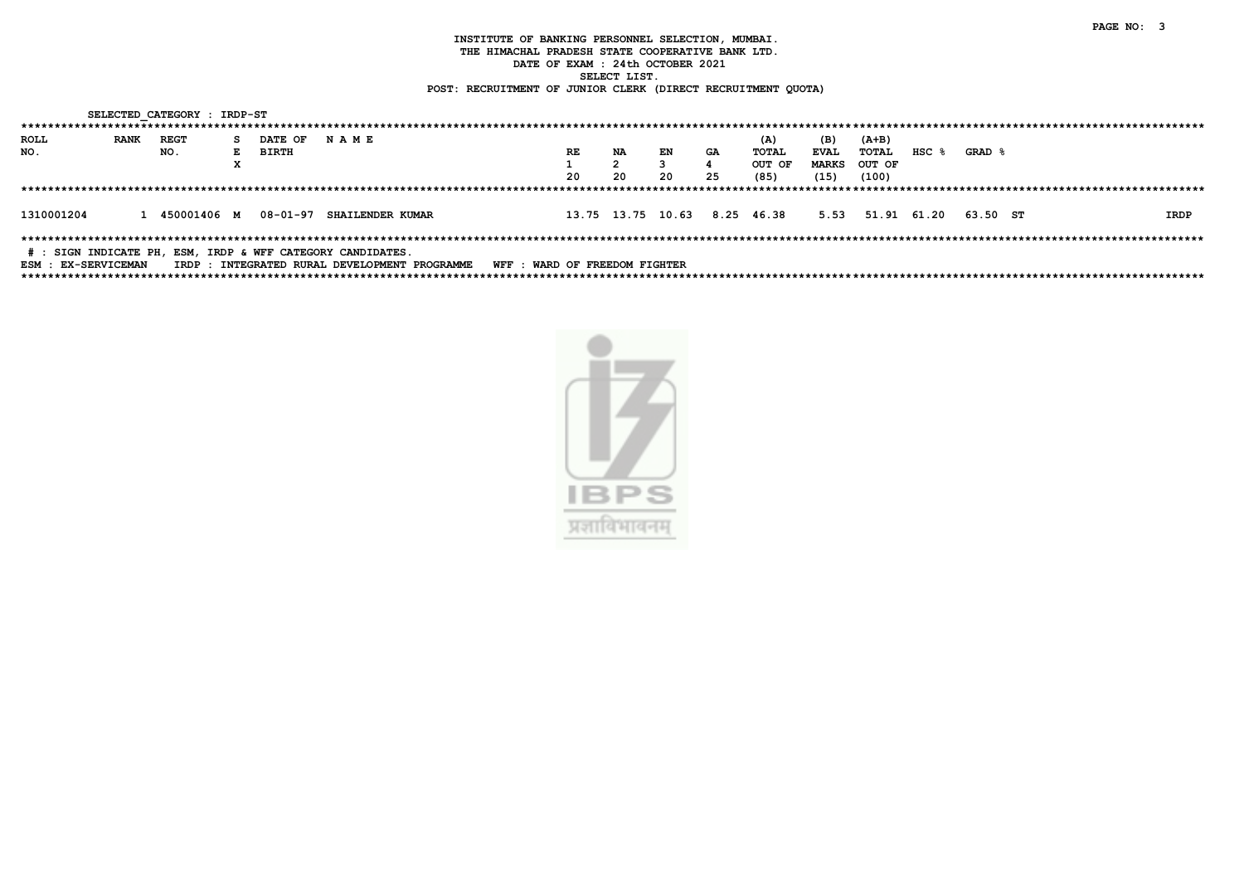|                                                            |             | SELECTED CATEGORY : IRDP-ST |    |                           |             |                                               |                               |    |    |    |                              |              |                           |           |        |  |      |
|------------------------------------------------------------|-------------|-----------------------------|----|---------------------------|-------------|-----------------------------------------------|-------------------------------|----|----|----|------------------------------|--------------|---------------------------|-----------|--------|--|------|
|                                                            |             |                             |    |                           |             |                                               |                               |    |    |    |                              |              |                           |           |        |  |      |
| ROLL                                                       | <b>RANK</b> | REGT                        | S. | <b>DATE OF</b>            | <b>NAME</b> |                                               |                               |    |    |    | (A)                          | (B)          | $(A+B)$                   |           |        |  |      |
| NO.                                                        |             | NO.                         |    | E BIRTH                   |             |                                               | RE                            | NA | EN | GA | TOTAL                        | <b>EVAL</b>  | TOTAL                     | $HSC$ $%$ | GRAD & |  |      |
|                                                            |             |                             | А. |                           |             |                                               |                               |    |    |    | OUT OF                       | <b>MARKS</b> | OUT OF                    |           |        |  |      |
|                                                            |             |                             |    |                           |             |                                               | 20                            | 20 | 20 | 25 | (85)                         | (15)         | (100)                     |           |        |  |      |
|                                                            |             |                             |    |                           |             |                                               |                               |    |    |    |                              |              |                           |           |        |  |      |
|                                                            |             |                             |    |                           |             |                                               |                               |    |    |    |                              |              |                           |           |        |  |      |
| 1310001204                                                 |             | 1 450001406 M               |    | 08-01-97 SHAILENDER KUMAR |             |                                               |                               |    |    |    | 13.75 13.75 10.63 8.25 46.38 |              | 5.53 51.91 61.20 63.50 ST |           |        |  | IRDP |
|                                                            |             |                             |    |                           |             |                                               |                               |    |    |    |                              |              |                           |           |        |  |      |
|                                                            |             |                             |    |                           |             |                                               |                               |    |    |    |                              |              |                           |           |        |  |      |
| # : SIGN INDICATE PH, ESM, IRDP & WFF CATEGORY CANDIDATES. |             |                             |    |                           |             |                                               |                               |    |    |    |                              |              |                           |           |        |  |      |
| ESM : EX-SERVICEMAN                                        |             |                             |    |                           |             | IRDP : INTEGRATED RURAL DEVELOPMENT PROGRAMME | WFF : WARD OF FREEDOM FIGHTER |    |    |    |                              |              |                           |           |        |  |      |

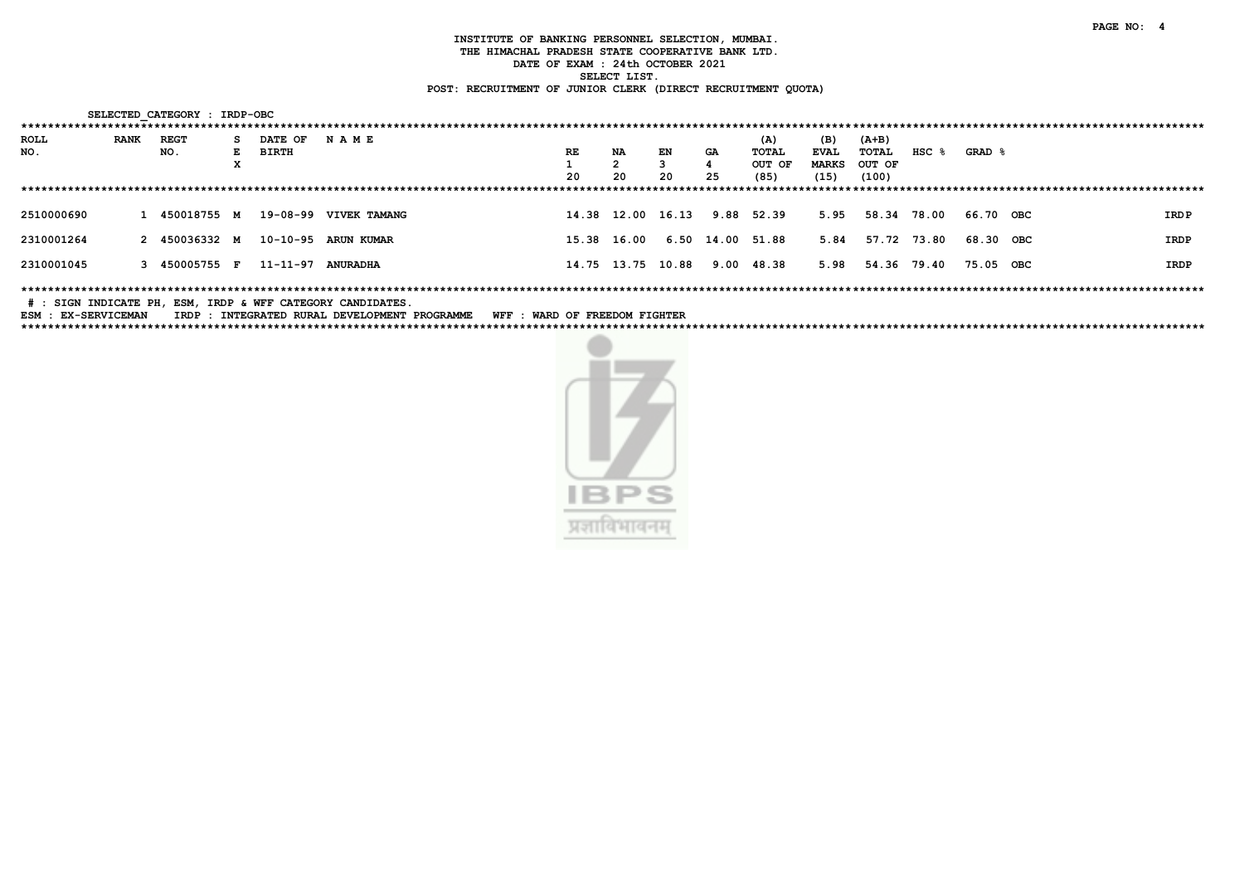|                    |             | SELECTED CATEGORY : IRDP-OBC |    |                   |                       |    |             |                   |                  |        |              |        |                  |           |  |       |
|--------------------|-------------|------------------------------|----|-------------------|-----------------------|----|-------------|-------------------|------------------|--------|--------------|--------|------------------|-----------|--|-------|
| ****************** |             |                              |    |                   |                       |    |             |                   |                  |        |              |        |                  |           |  |       |
| ROLL               | <b>RANK</b> | REGT                         | s. | DATE OF           | <b>NAME</b>           |    |             |                   |                  | (A)    | (B)          | (A+B)  |                  |           |  |       |
| NO.                |             | NO.                          | E. | BIRTH             |                       | RE | NA          | EN                | GA               | TOTAL  | <b>EVAL</b>  | TOTAL  | HSC <sub>8</sub> | GRAD &    |  |       |
|                    |             |                              | x  |                   |                       |    |             |                   |                  | OUT OF | <b>MARKS</b> | OUT OF |                  |           |  |       |
|                    |             |                              |    |                   |                       | 20 | 20          | 20                | 25               | (85)   | (15)         | (100)  |                  |           |  |       |
|                    |             |                              |    |                   |                       |    |             |                   |                  |        |              |        |                  |           |  |       |
|                    |             |                              |    |                   |                       |    |             |                   |                  |        |              |        |                  |           |  |       |
| 2510000690         |             | 1 450018755 M                |    |                   | 19-08-99 VIVEK TAMANG |    |             | 14.38 12.00 16.13 | 9.88             | 52.39  | 5.95         |        | 58.34 78.00      | 66.70 OBC |  | IRD P |
|                    |             |                              |    |                   |                       |    |             |                   |                  |        |              |        |                  |           |  |       |
| 2310001264         |             | 2 450036332 M                |    |                   | 10-10-95 ARUN KUMAR   |    | 15.38 16.00 |                   | 6.50 14.00 51.88 |        | 5.84         |        | 57.72 73.80      | 68.30 OBC |  | IRDP  |
|                    |             |                              |    |                   |                       |    |             |                   |                  |        |              |        |                  |           |  |       |
| 2310001045         |             | 3 450005755 F                |    | 11-11-97 ANURADHA |                       |    |             | 14.75 13.75 10.88 | 9.00             | 48.38  | 5.98         | 54.36  | 79.40            | 75.05 OBC |  | IRDP  |
|                    |             |                              |    |                   |                       |    |             |                   |                  |        |              |        |                  |           |  |       |
|                    |             |                              |    |                   |                       |    |             |                   |                  |        |              |        |                  |           |  |       |

# : SIGN INDICATE PH, ESM, IRDP & WFF CATEGORY CANDIDATES.

ESM : EX-SERVICEMAN IRDP : INTEGRATED RURAL DEVELOPMENT PROGRAMME WFF : WARD OF FREEDOM FIGHTER 

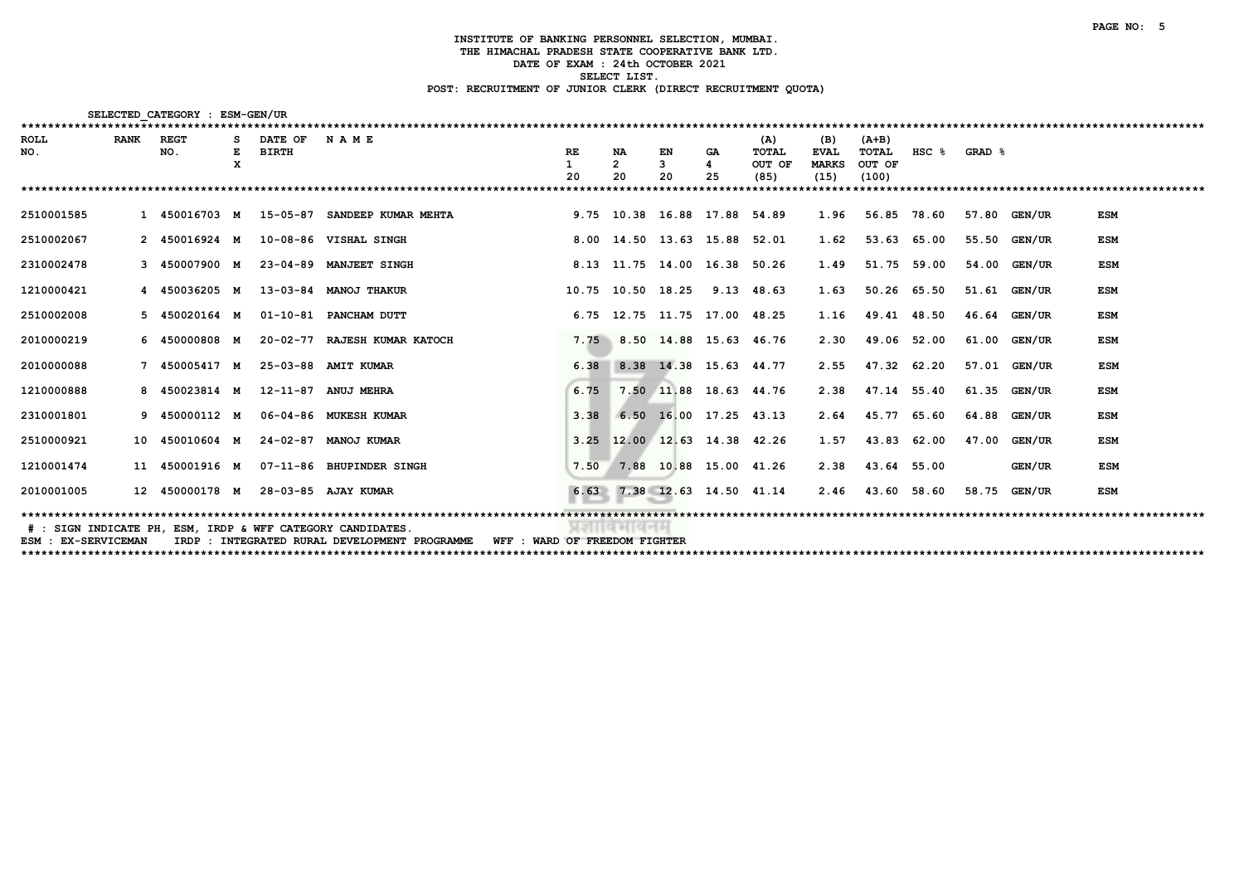| ********************************** |             | SELECTED CATEGORY : ESM-GEN/UR |   |              |                                                                                |           |                       |                              |           |              |              |             |           |        |              |            |
|------------------------------------|-------------|--------------------------------|---|--------------|--------------------------------------------------------------------------------|-----------|-----------------------|------------------------------|-----------|--------------|--------------|-------------|-----------|--------|--------------|------------|
| <b>ROLL</b>                        | <b>RANK</b> | <b>REGT</b>                    |   | DATE OF      | NAME                                                                           |           |                       |                              |           | (A)          | (B)          | $(A+B)$     |           |        |              |            |
| NO.                                |             | NO.                            |   | <b>BIRTH</b> |                                                                                | <b>RE</b> | <b>NA</b>             | EN                           | <b>GA</b> | <b>TOTAL</b> | <b>EVAL</b>  | TOTAL       | $HSC$ $%$ | GRAD & |              |            |
|                                    |             |                                | x |              |                                                                                |           | $\overline{2}$        | 3                            | 4         | OUT OF       | <b>MARKS</b> | OUT OF      |           |        |              |            |
|                                    |             |                                |   |              |                                                                                | 20        | 20                    | 20                           | 25        | (85)         | (15)         | (100)       |           |        |              |            |
|                                    |             |                                |   |              |                                                                                |           |                       |                              |           |              |              |             |           |        |              |            |
| 2510001585                         |             |                                |   |              | 1 450016703 M 15-05-87 SANDEEP KUMAR MEHTA                                     |           |                       | 9.75 10.38 16.88 17.88 54.89 |           |              | 1.96         | 56.85 78.60 |           |        | 57.80 GEN/UR | <b>ESM</b> |
| 2510002067                         |             | 2 450016924 M                  |   |              | 10-08-86 VISHAL SINGH                                                          |           |                       | 8.00 14.50 13.63 15.88 52.01 |           |              | 1.62         | 53.63       | 65.00     |        | 55.50 GEN/UR | <b>ESM</b> |
| 2310002478                         |             | 3 450007900 M                  |   |              | 23-04-89 MANJEET SINGH                                                         |           |                       | 8.13 11.75 14.00 16.38       |           | 50.26        | 1.49         | 51.75       | 59.00     | 54.00  | GEN/UR       | <b>ESM</b> |
| 1210000421                         |             | 4 450036205 M                  |   |              | 13-03-84 MANOJ THAKUR                                                          |           |                       | 10.75 10.50 18.25            | 9.13      | 48.63        | 1.63         | 50.26       | 65.50     |        | 51.61 GEN/UR | <b>ESM</b> |
| 2510002008                         |             | 5 450020164 M                  |   |              | 01-10-81 PANCHAM DUTT                                                          |           |                       | 6.75 12.75 11.75 17.00 48.25 |           |              | 1.16         | 49.41 48.50 |           | 46.64  | GEN/UR       | <b>ESM</b> |
| 2010000219                         |             | 6 450000808 M                  |   |              | 20-02-77 RAJESH KUMAR KATOCH                                                   | 7.75      |                       | 8.50 14.88 15.63 46.76       |           |              | 2.30         | 49.06       | 52.00     | 61.00  | GEN/UR       | <b>ESM</b> |
| 2010000088                         |             | 7 450005417 M                  |   |              | 25-03-88 AMIT KUMAR                                                            | 6.38      |                       | 8.38 14.38 15.63 44.77       |           |              | 2.55         | 47.32       | 62.20     | 57.01  | GEN/UR       | <b>ESM</b> |
| 1210000888                         |             | 8 450023814 M                  |   |              | 12-11-87 ANUJ MEHRA                                                            | 6.75      |                       | 7.50 11.88 18.63 44.76       |           |              | 2.38         | 47.14 55.40 |           | 61.35  | GEN/UR       | <b>ESM</b> |
| 2310001801                         |             | 9 450000112 M                  |   |              | 06-04-86 MUKESH KUMAR                                                          | 3.38      |                       | 6.50 16.00 17.25 43.13       |           |              | 2.64         | 45.77 65.60 |           |        | 64.88 GEN/UR | <b>ESM</b> |
| 2510000921                         |             | 10 450010604 M                 |   |              | 24-02-87 MANOJ KUMAR                                                           |           |                       | 3.25 12.00 12.63 14.38 42.26 |           |              | 1.57         | 43.83       | 62.00     | 47.00  | GEN/UR       | <b>ESM</b> |
| 1210001474                         |             | 11 450001916 M                 |   |              | 07-11-86 BHUPINDER SINGH                                                       | 7.50      |                       | 7.88 10.88 15.00 41.26       |           |              | 2.38         | 43.64 55.00 |           |        | GEN/UR       | <b>ESM</b> |
| 2010001005                         |             | 12 450000178 M                 |   |              | 28-03-85 AJAY KUMAR                                                            |           |                       | 6.63 7.38 12.63 14.50 41.14  |           |              | 2.46         | 43.60 58.60 |           | 58.75  | GEN/UR       | <b>ESM</b> |
|                                    |             |                                |   |              |                                                                                |           |                       |                              |           |              |              |             |           |        |              |            |
|                                    |             |                                |   |              | # : SIGN INDICATE PH, ESM, IRDP & WFF CATEGORY CANDIDATES.                     |           | <b>MIT IN IN KIMM</b> |                              |           |              |              |             |           |        |              |            |
| ESM : EX-SERVICEMAN                |             |                                |   |              | IRDP : INTEGRATED RURAL DEVELOPMENT PROGRAMME<br>WFF : WARD OF FREEDOM FIGHTER |           |                       |                              |           |              |              |             |           |        |              |            |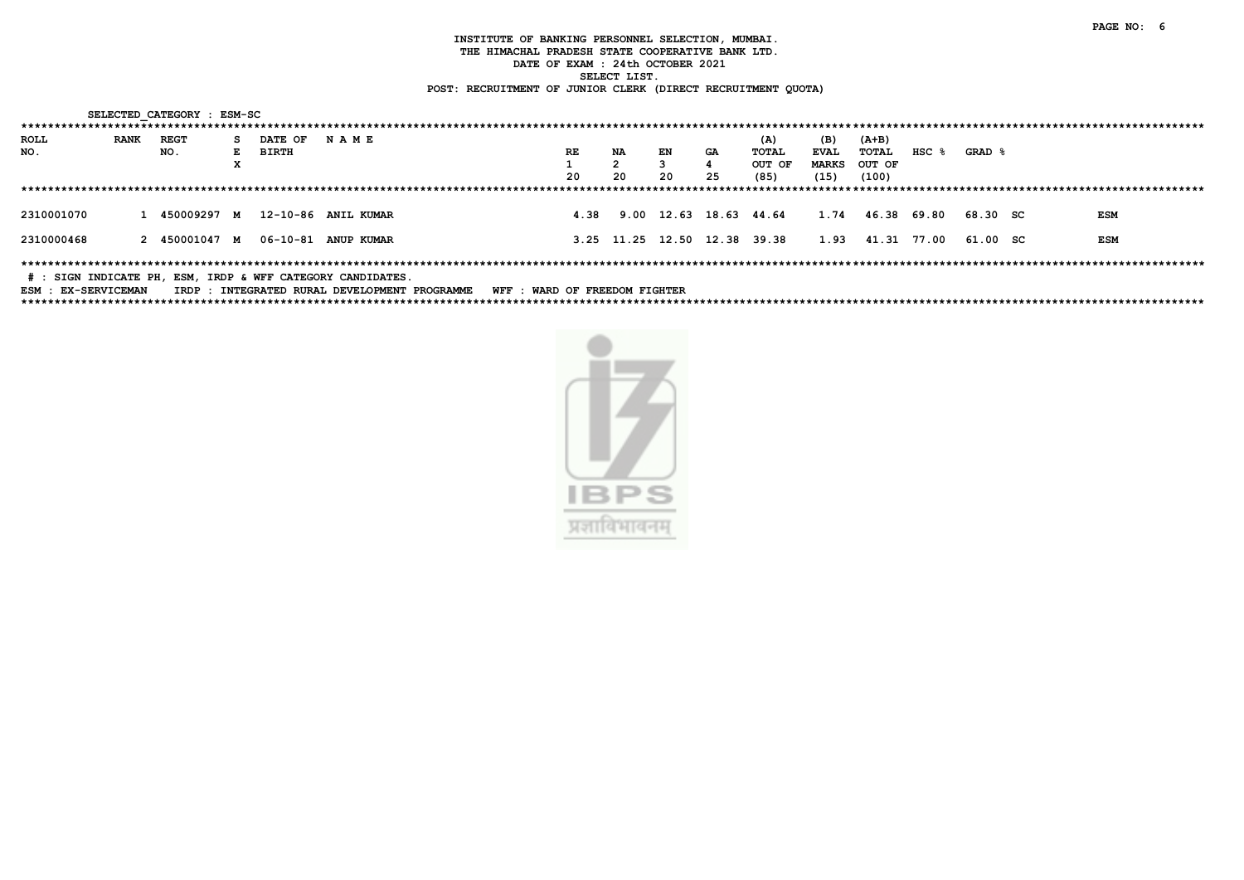|                            |             | SELECTED CATEGORY : ESM-SC |              |              |                                                            |                               |    |                        |    |                              |              |                  |           |          |            |
|----------------------------|-------------|----------------------------|--------------|--------------|------------------------------------------------------------|-------------------------------|----|------------------------|----|------------------------------|--------------|------------------|-----------|----------|------------|
|                            |             |                            |              |              |                                                            |                               |    |                        |    |                              |              |                  |           |          |            |
| ROLL                       | <b>RANK</b> | <b>REGT</b>                | s.           | DATE OF      | <b>NAME</b>                                                |                               |    |                        |    | (A)                          | (B)          | $(A+B)$          |           |          |            |
| NO.                        |             | NO.                        | $\mathbf{E}$ | <b>BIRTH</b> |                                                            | RE                            | NA | EN                     | GA | TOTAL                        | <b>EVAL</b>  | TOTAL            | $HSC$ $%$ | GRAD &   |            |
|                            |             |                            | x            |              |                                                            |                               |    |                        |    | OUT OF                       | <b>MARKS</b> | OUT OF           |           |          |            |
|                            |             |                            |              |              |                                                            | 20                            | 20 | 20                     | 25 | (85)                         | (15)         | (100)            |           |          |            |
|                            |             |                            |              |              |                                                            |                               |    |                        |    |                              |              |                  |           |          |            |
|                            |             |                            |              |              |                                                            |                               |    |                        |    |                              |              |                  |           |          |            |
| 2310001070                 |             | 1 450009297 M              |              |              | 12-10-86 ANIL KUMAR                                        | 4.38                          |    | 9.00 12.63 18.63 44.64 |    |                              | 1.74         | 46.38            | 69.80     | 68.30 SC | <b>ESM</b> |
|                            |             |                            |              |              |                                                            |                               |    |                        |    |                              |              |                  |           |          |            |
| 2310000468                 |             | 2 450001047 M              |              |              | 06-10-81 ANUP KUMAR                                        |                               |    |                        |    | 3.25 11.25 12.50 12.38 39.38 |              | 1.93 41.31 77.00 |           | 61.00 SC | ESM        |
|                            |             |                            |              |              |                                                            |                               |    |                        |    |                              |              |                  |           |          |            |
|                            |             |                            |              |              |                                                            |                               |    |                        |    |                              |              |                  |           |          |            |
|                            |             |                            |              |              | # : SIGN INDICATE PH, ESM, IRDP & WFF CATEGORY CANDIDATES. |                               |    |                        |    |                              |              |                  |           |          |            |
| <b>ESM · EX-SERVICEMAN</b> |             |                            |              |              | TRDP · TNTEGRATED RIIRAL DEVELOPMENT PROGRAMME             | WEE . WARD OF FREEDOM FIGHTER |    |                        |    |                              |              |                  |           |          |            |

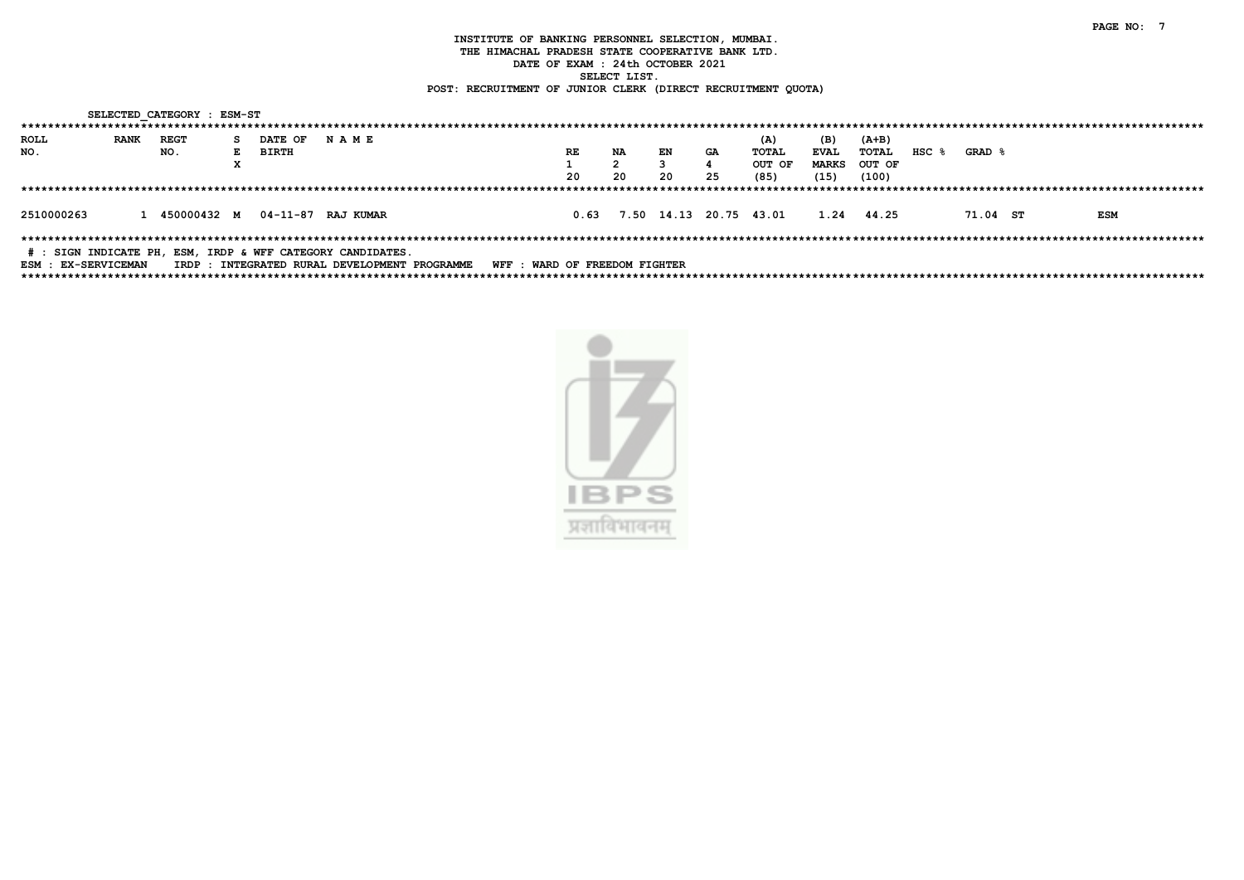|                             |             |     | SELECTED CATEGORY : ESM-ST |                             |         |                                                                                                                 |                               |    |     |    |    |                             |              |        |           |          |            |
|-----------------------------|-------------|-----|----------------------------|-----------------------------|---------|-----------------------------------------------------------------------------------------------------------------|-------------------------------|----|-----|----|----|-----------------------------|--------------|--------|-----------|----------|------------|
|                             |             |     |                            |                             |         |                                                                                                                 |                               |    |     |    |    |                             |              |        |           |          |            |
| ROLL                        | <b>RANK</b> |     | REGT                       | s.                          | DATE OF | <b>NAME</b>                                                                                                     |                               |    |     |    |    | (A)                         | (B)          | (A+B)  |           |          |            |
| NO.                         |             | NO. |                            | E                           | BIRTH   |                                                                                                                 | <b>RE</b>                     |    | NA  | EN | GA | TOTAL                       | <b>EVAL</b>  | TOTAL  | $HSC$ $%$ | GRAD &   |            |
|                             |             |     |                            | $\mathbf v$<br>$\mathbf{r}$ |         |                                                                                                                 |                               |    | 2   |    |    | OUT OF                      | <b>MARKS</b> | OUT OF |           |          |            |
|                             |             |     |                            |                             |         |                                                                                                                 |                               | 20 | -20 | 20 | 25 | (85)                        | (15)         | (100)  |           |          |            |
|                             |             |     |                            |                             |         |                                                                                                                 |                               |    |     |    |    |                             |              |        |           |          |            |
| 2510000263                  |             |     |                            |                             |         | 1 450000432 M 04-11-87 RAJ KUMAR                                                                                |                               |    |     |    |    | 0.63 7.50 14.13 20.75 43.01 | 1.24 44.25   |        |           | 71.04 ST | <b>ESM</b> |
| <b>DOM . DV_CODIT COMAN</b> |             |     |                            |                             |         | # : SIGN INDICATE PH, ESM, IRDP & WFF CATEGORY CANDIDATES.<br>האמגמסספת האקומס וקזיקה דגמוזם הקהגמסקהארד . החמד | WEE . WADD OF FOFFDOM FICUMED |    |     |    |    |                             |              |        |           |          |            |

ESM : EX-SERVICEMAN IRDP : INTEGRATED RURAL DEVELOPMENT PROGRAMME WFF : WARD OF FREEDOM FIGHTER

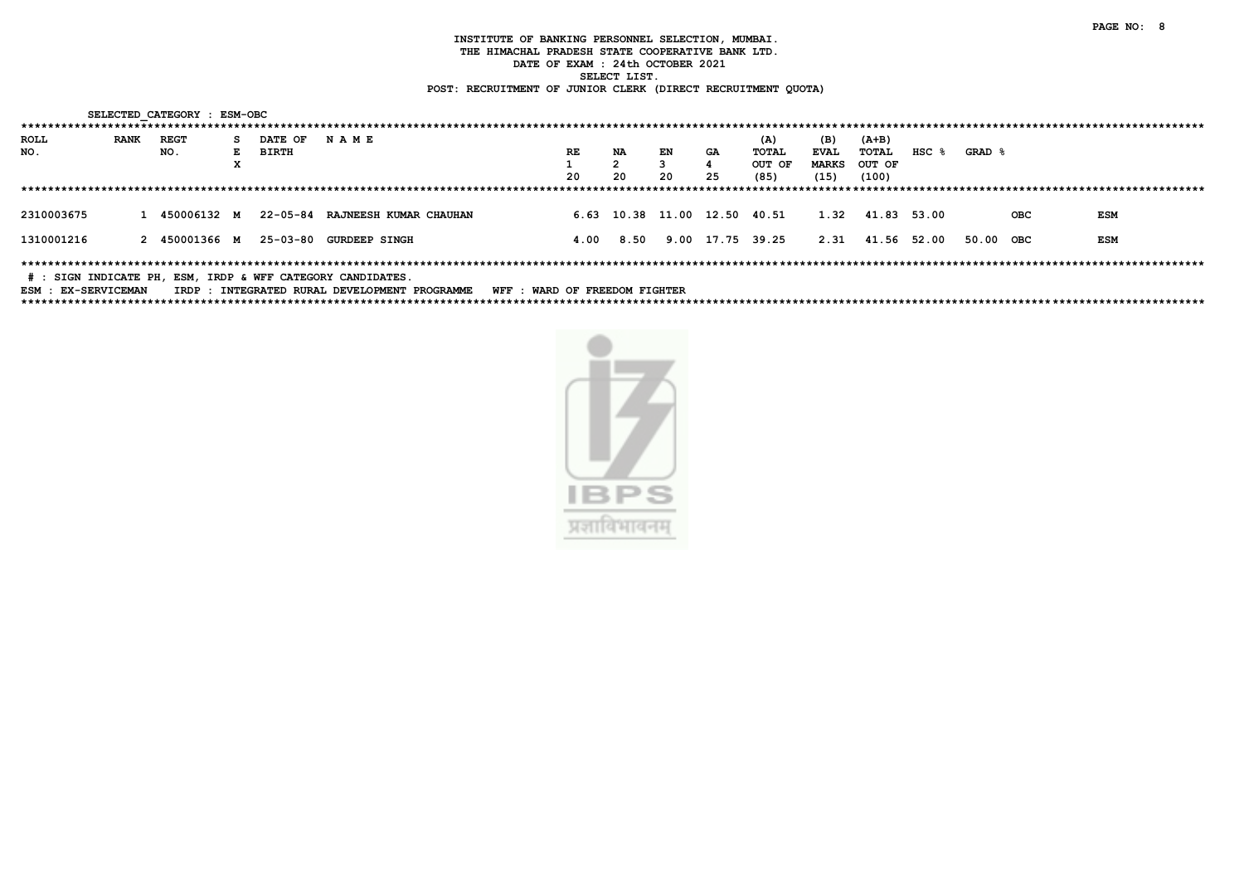|                     |             | SELECTED CATEGORY : ESM-OBC |    |              |                                                            |                               |      |      |                              |            |        |              |                  |       |                   |     |            |  |
|---------------------|-------------|-----------------------------|----|--------------|------------------------------------------------------------|-------------------------------|------|------|------------------------------|------------|--------|--------------|------------------|-------|-------------------|-----|------------|--|
|                     |             |                             |    |              |                                                            |                               |      |      |                              |            |        |              |                  |       |                   |     |            |  |
| ROLL                | <b>RANK</b> | REGT                        | s. | DATE OF      | <b>NAME</b>                                                |                               |      |      |                              |            | (A)    | (B)          | $(A+B)$          |       |                   |     |            |  |
| NO.                 |             | NO.                         | E. | <b>BIRTH</b> |                                                            |                               | RE   | NA   | EN                           | GA         | TOTAL  | EVAL         | TOTAL            | HSC % | <b>GRAD &amp;</b> |     |            |  |
|                     |             |                             | x  |              |                                                            |                               |      |      |                              |            | OUT OF | <b>MARKS</b> | OUT OF           |       |                   |     |            |  |
|                     |             |                             |    |              |                                                            |                               | 20   | 20   | 20                           | 25         | (85)   | (15)         | (100)            |       |                   |     |            |  |
|                     |             |                             |    |              |                                                            |                               |      |      |                              |            |        |              |                  |       |                   |     |            |  |
| 2310003675          |             | 1 450006132 M               |    |              | 22-05-84 RAJNEESH KUMAR CHAUHAN                            |                               |      |      | 6.63 10.38 11.00 12.50 40.51 |            |        |              | 1.32 41.83 53.00 |       |                   | OBC | <b>ESM</b> |  |
| 1310001216          |             | 2 450001366 M               |    |              | 25-03-80 GURDEEP SINGH                                     |                               | 4.00 | 8.50 |                              | 9.00 17.75 | 39.25  |              | 2.31 41.56 52.00 |       | 50.00             | OBC | <b>ESM</b> |  |
|                     |             |                             |    |              | # : SIGN INDICATE PH, ESM, IRDP & WFF CATEGORY CANDIDATES. |                               |      |      |                              |            |        |              |                  |       |                   |     |            |  |
| ESM : EX-SERVICEMAN |             |                             |    |              | IRDP : INTEGRATED RURAL DEVELOPMENT PROGRAMME              | WFF : WARD OF FREEDOM FIGHTER |      |      |                              |            |        |              |                  |       |                   |     |            |  |

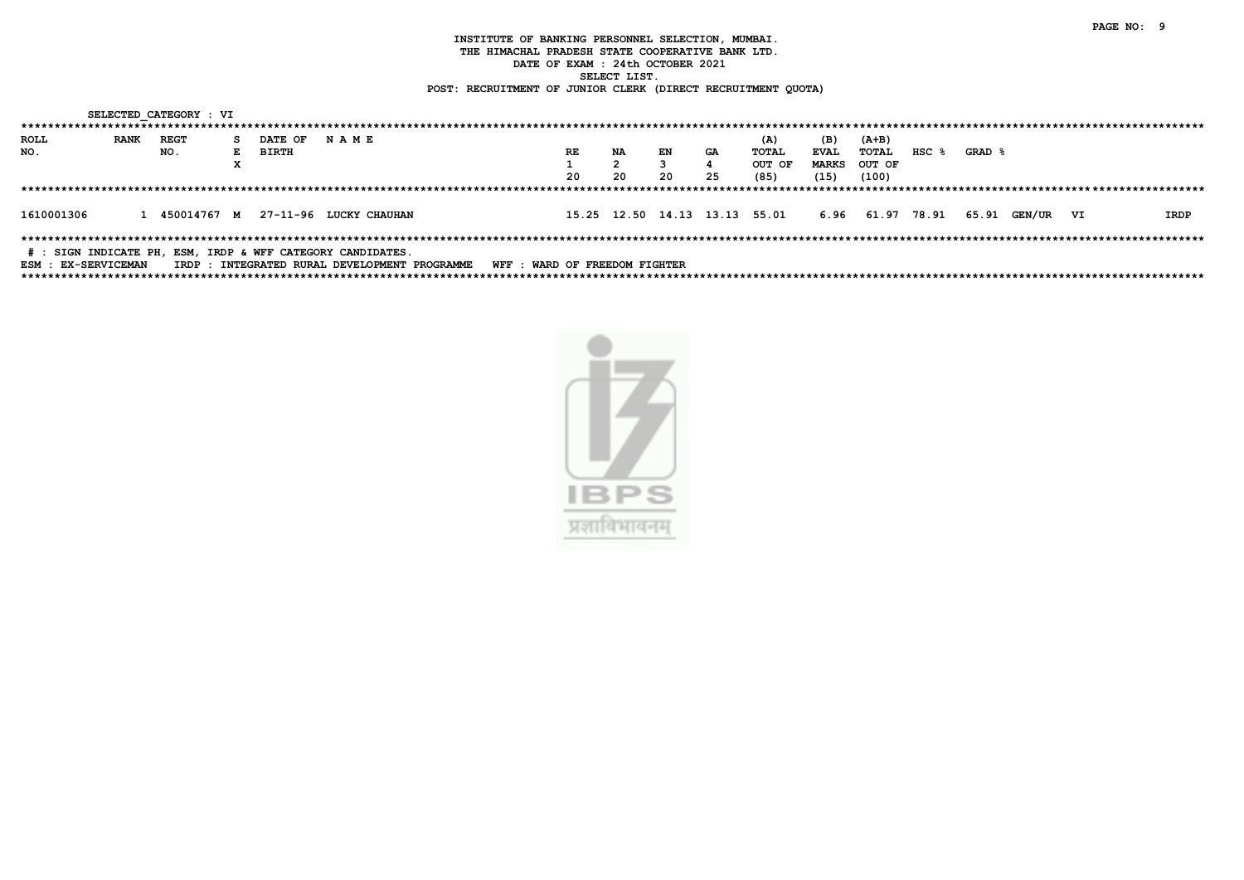|                     |             | SELECTED CATEGORY : VI |    |         |                                                            |                               |    |    |           |                               |              |                  |           |        |           |      |
|---------------------|-------------|------------------------|----|---------|------------------------------------------------------------|-------------------------------|----|----|-----------|-------------------------------|--------------|------------------|-----------|--------|-----------|------|
|                     |             |                        |    |         |                                                            |                               |    |    |           |                               |              |                  |           |        |           |      |
| ROLL                | <b>RANK</b> | REGT                   | S. | DATE OF | <b>NAME</b>                                                |                               |    |    |           | (A)                           | (B)          | $(A+B)$          |           |        |           |      |
| NO.                 |             | NO.                    | Е  | BIRTH   |                                                            | RE                            | NA | EN | <b>GA</b> | TOTAL                         | <b>EVAL</b>  | TOTAL            | $HSC$ $%$ | GRAD & |           |      |
|                     |             |                        |    |         |                                                            |                               |    |    |           | OUT OF                        | <b>MARKS</b> | OUT OF           |           |        |           |      |
|                     |             |                        |    |         |                                                            | 20                            | 20 | 20 | 25        | (85)                          | (15)         | (100)            |           |        |           |      |
|                     |             |                        |    |         |                                                            |                               |    |    |           |                               |              |                  |           |        |           |      |
|                     |             |                        |    |         |                                                            |                               |    |    |           |                               |              |                  |           |        |           |      |
| 1610001306          |             |                        |    |         | 1 450014767 M 27-11-96 LUCKY CHAUHAN                       |                               |    |    |           | 15.25 12.50 14.13 13.13 55.01 |              | 6.96 61.97 78.91 |           | 65.91  | GEN/UR VI | IRDP |
|                     |             |                        |    |         |                                                            |                               |    |    |           |                               |              |                  |           |        |           |      |
|                     |             |                        |    |         |                                                            |                               |    |    |           |                               |              |                  |           |        |           |      |
|                     |             |                        |    |         | # : SIGN INDICATE PH, ESM, IRDP & WFF CATEGORY CANDIDATES. |                               |    |    |           |                               |              |                  |           |        |           |      |
| ESM : EX-SERVICEMAN |             |                        |    |         | IRDP : INTEGRATED RURAL DEVELOPMENT PROGRAMME              | WFF : WARD OF FREEDOM FIGHTER |    |    |           |                               |              |                  |           |        |           |      |